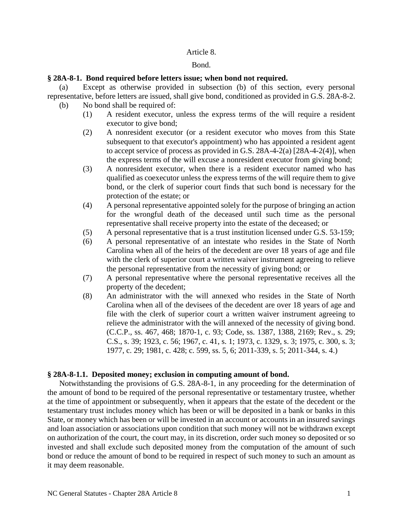# Article 8.

## Bond.

# **§ 28A-8-1. Bond required before letters issue; when bond not required.**

(a) Except as otherwise provided in subsection (b) of this section, every personal representative, before letters are issued, shall give bond, conditioned as provided in G.S. 28A-8-2.

- (b) No bond shall be required of:
	- (1) A resident executor, unless the express terms of the will require a resident executor to give bond;
	- (2) A nonresident executor (or a resident executor who moves from this State subsequent to that executor's appointment) who has appointed a resident agent to accept service of process as provided in G.S. 28A-4-2(a) [28A-4-2(4)], when the express terms of the will excuse a nonresident executor from giving bond;
	- (3) A nonresident executor, when there is a resident executor named who has qualified as coexecutor unless the express terms of the will require them to give bond, or the clerk of superior court finds that such bond is necessary for the protection of the estate; or
	- (4) A personal representative appointed solely for the purpose of bringing an action for the wrongful death of the deceased until such time as the personal representative shall receive property into the estate of the deceased; or
	- (5) A personal representative that is a trust institution licensed under G.S. 53-159;
	- (6) A personal representative of an intestate who resides in the State of North Carolina when all of the heirs of the decedent are over 18 years of age and file with the clerk of superior court a written waiver instrument agreeing to relieve the personal representative from the necessity of giving bond; or
	- (7) A personal representative where the personal representative receives all the property of the decedent;
	- (8) An administrator with the will annexed who resides in the State of North Carolina when all of the devisees of the decedent are over 18 years of age and file with the clerk of superior court a written waiver instrument agreeing to relieve the administrator with the will annexed of the necessity of giving bond. (C.C.P., ss. 467, 468; 1870-1, c. 93; Code, ss. 1387, 1388, 2169; Rev., s. 29; C.S., s. 39; 1923, c. 56; 1967, c. 41, s. 1; 1973, c. 1329, s. 3; 1975, c. 300, s. 3; 1977, c. 29; 1981, c. 428; c. 599, ss. 5, 6; 2011-339, s. 5; 2011-344, s. 4.)

# **§ 28A-8-1.1. Deposited money; exclusion in computing amount of bond.**

Notwithstanding the provisions of G.S. 28A-8-1, in any proceeding for the determination of the amount of bond to be required of the personal representative or testamentary trustee, whether at the time of appointment or subsequently, when it appears that the estate of the decedent or the testamentary trust includes money which has been or will be deposited in a bank or banks in this State, or money which has been or will be invested in an account or accounts in an insured savings and loan association or associations upon condition that such money will not be withdrawn except on authorization of the court, the court may, in its discretion, order such money so deposited or so invested and shall exclude such deposited money from the computation of the amount of such bond or reduce the amount of bond to be required in respect of such money to such an amount as it may deem reasonable.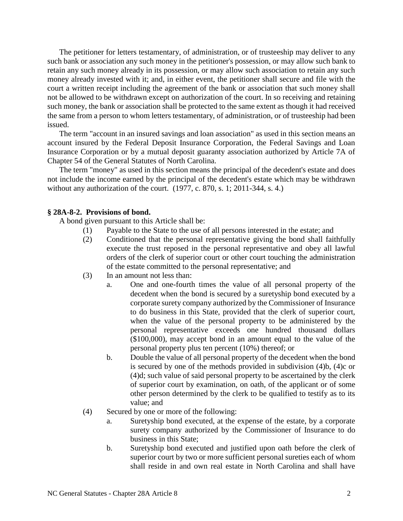The petitioner for letters testamentary, of administration, or of trusteeship may deliver to any such bank or association any such money in the petitioner's possession, or may allow such bank to retain any such money already in its possession, or may allow such association to retain any such money already invested with it; and, in either event, the petitioner shall secure and file with the court a written receipt including the agreement of the bank or association that such money shall not be allowed to be withdrawn except on authorization of the court. In so receiving and retaining such money, the bank or association shall be protected to the same extent as though it had received the same from a person to whom letters testamentary, of administration, or of trusteeship had been issued.

The term "account in an insured savings and loan association" as used in this section means an account insured by the Federal Deposit Insurance Corporation, the Federal Savings and Loan Insurance Corporation or by a mutual deposit guaranty association authorized by Article 7A of Chapter 54 of the General Statutes of North Carolina.

The term "money" as used in this section means the principal of the decedent's estate and does not include the income earned by the principal of the decedent's estate which may be withdrawn without any authorization of the court. (1977, c. 870, s. 1; 2011-344, s. 4.)

#### **§ 28A-8-2. Provisions of bond.**

A bond given pursuant to this Article shall be:

- (1) Payable to the State to the use of all persons interested in the estate; and
- (2) Conditioned that the personal representative giving the bond shall faithfully execute the trust reposed in the personal representative and obey all lawful orders of the clerk of superior court or other court touching the administration of the estate committed to the personal representative; and
- (3) In an amount not less than:
	- a. One and one-fourth times the value of all personal property of the decedent when the bond is secured by a suretyship bond executed by a corporate surety company authorized by the Commissioner of Insurance to do business in this State, provided that the clerk of superior court, when the value of the personal property to be administered by the personal representative exceeds one hundred thousand dollars (\$100,000), may accept bond in an amount equal to the value of the personal property plus ten percent (10%) thereof; or
	- b. Double the value of all personal property of the decedent when the bond is secured by one of the methods provided in subdivision (4)b, (4)c or (4)d; such value of said personal property to be ascertained by the clerk of superior court by examination, on oath, of the applicant or of some other person determined by the clerk to be qualified to testify as to its value; and
- (4) Secured by one or more of the following:
	- a. Suretyship bond executed, at the expense of the estate, by a corporate surety company authorized by the Commissioner of Insurance to do business in this State;
	- b. Suretyship bond executed and justified upon oath before the clerk of superior court by two or more sufficient personal sureties each of whom shall reside in and own real estate in North Carolina and shall have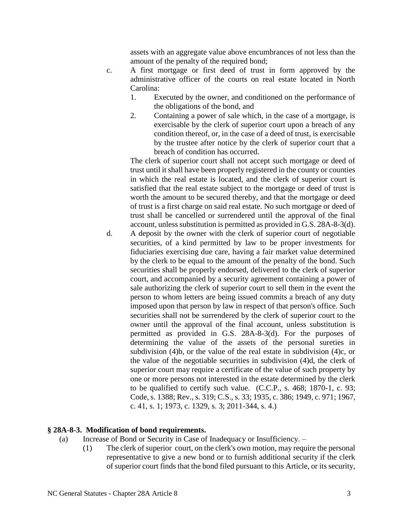assets with an aggregate value above encumbrances of not less than the amount of the penalty of the required bond;

- c. A first mortgage or first deed of trust in form approved by the administrative officer of the courts on real estate located in North Carolina:
	- 1. Executed by the owner, and conditioned on the performance of the obligations of the bond, and
	- 2. Containing a power of sale which, in the case of a mortgage, is exercisable by the clerk of superior court upon a breach of any condition thereof, or, in the case of a deed of trust, is exercisable by the trustee after notice by the clerk of superior court that a breach of condition has occurred.

The clerk of superior court shall not accept such mortgage or deed of trust until it shall have been properly registered in the county or counties in which the real estate is located, and the clerk of superior court is satisfied that the real estate subject to the mortgage or deed of trust is worth the amount to be secured thereby, and that the mortgage or deed of trust is a first charge on said real estate. No such mortgage or deed of trust shall be cancelled or surrendered until the approval of the final account, unless substitution is permitted as provided in G.S. 28A-8-3(d).

d. A deposit by the owner with the clerk of superior court of negotiable securities, of a kind permitted by law to be proper investments for fiduciaries exercising due care, having a fair market value determined by the clerk to be equal to the amount of the penalty of the bond. Such securities shall be properly endorsed, delivered to the clerk of superior court, and accompanied by a security agreement containing a power of sale authorizing the clerk of superior court to sell them in the event the person to whom letters are being issued commits a breach of any duty imposed upon that person by law in respect of that person's office. Such securities shall not be surrendered by the clerk of superior court to the owner until the approval of the final account, unless substitution is permitted as provided in G.S. 28A-8-3(d). For the purposes of determining the value of the assets of the personal sureties in subdivision (4)b, or the value of the real estate in subdivision (4)c, or the value of the negotiable securities in subdivision (4)d, the clerk of superior court may require a certificate of the value of such property by one or more persons not interested in the estate determined by the clerk to be qualified to certify such value. (C.C.P., s. 468; 1870-1, c. 93; Code, s. 1388; Rev., s. 319; C.S., s. 33; 1935, c. 386; 1949, c. 971; 1967, c. 41, s. 1; 1973, c. 1329, s. 3; 2011-344, s. 4.)

### **§ 28A-8-3. Modification of bond requirements.**

- (a) Increase of Bond or Security in Case of Inadequacy or Insufficiency.
	- (1) The clerk of superior court, on the clerk's own motion, may require the personal representative to give a new bond or to furnish additional security if the clerk of superior court finds that the bond filed pursuant to this Article, or its security,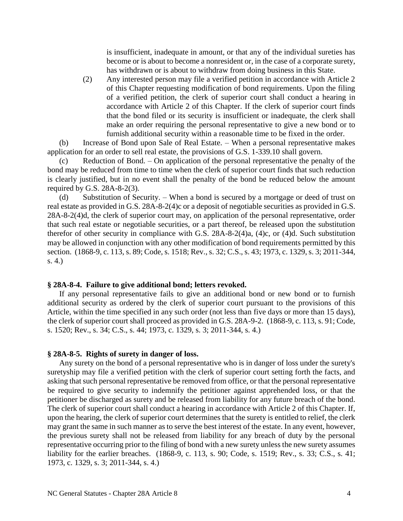is insufficient, inadequate in amount, or that any of the individual sureties has become or is about to become a nonresident or, in the case of a corporate surety, has withdrawn or is about to withdraw from doing business in this State.

(2) Any interested person may file a verified petition in accordance with Article 2 of this Chapter requesting modification of bond requirements. Upon the filing of a verified petition, the clerk of superior court shall conduct a hearing in accordance with Article 2 of this Chapter. If the clerk of superior court finds that the bond filed or its security is insufficient or inadequate, the clerk shall make an order requiring the personal representative to give a new bond or to furnish additional security within a reasonable time to be fixed in the order.

(b) Increase of Bond upon Sale of Real Estate. – When a personal representative makes application for an order to sell real estate, the provisions of G.S. 1-339.10 shall govern.

(c) Reduction of Bond. – On application of the personal representative the penalty of the bond may be reduced from time to time when the clerk of superior court finds that such reduction is clearly justified, but in no event shall the penalty of the bond be reduced below the amount required by G.S. 28A-8-2(3).

(d) Substitution of Security. – When a bond is secured by a mortgage or deed of trust on real estate as provided in G.S. 28A-8-2(4)c or a deposit of negotiable securities as provided in G.S. 28A-8-2(4)d, the clerk of superior court may, on application of the personal representative, order that such real estate or negotiable securities, or a part thereof, be released upon the substitution therefor of other security in compliance with G.S. 28A-8-2(4)a, (4)c, or (4)d. Such substitution may be allowed in conjunction with any other modification of bond requirements permitted by this section. (1868-9, c. 113, s. 89; Code, s. 1518; Rev., s. 32; C.S., s. 43; 1973, c. 1329, s. 3; 2011-344, s. 4.)

#### **§ 28A-8-4. Failure to give additional bond; letters revoked.**

If any personal representative fails to give an additional bond or new bond or to furnish additional security as ordered by the clerk of superior court pursuant to the provisions of this Article, within the time specified in any such order (not less than five days or more than 15 days), the clerk of superior court shall proceed as provided in G.S. 28A-9-2. (1868-9, c. 113, s. 91; Code, s. 1520; Rev., s. 34; C.S., s. 44; 1973, c. 1329, s. 3; 2011-344, s. 4.)

#### **§ 28A-8-5. Rights of surety in danger of loss.**

Any surety on the bond of a personal representative who is in danger of loss under the surety's suretyship may file a verified petition with the clerk of superior court setting forth the facts, and asking that such personal representative be removed from office, or that the personal representative be required to give security to indemnify the petitioner against apprehended loss, or that the petitioner be discharged as surety and be released from liability for any future breach of the bond. The clerk of superior court shall conduct a hearing in accordance with Article 2 of this Chapter. If, upon the hearing, the clerk of superior court determines that the surety is entitled to relief, the clerk may grant the same in such manner as to serve the best interest of the estate. In any event, however, the previous surety shall not be released from liability for any breach of duty by the personal representative occurring prior to the filing of bond with a new surety unless the new surety assumes liability for the earlier breaches. (1868-9, c. 113, s. 90; Code, s. 1519; Rev., s. 33; C.S., s. 41; 1973, c. 1329, s. 3; 2011-344, s. 4.)